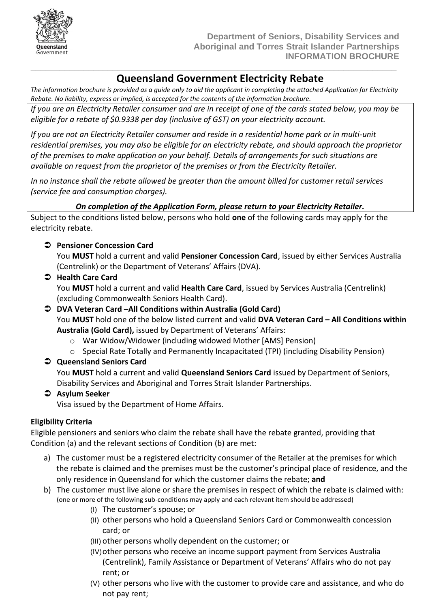

# **Queensland Government Electricity Rebate**

*The information brochure is provided as a guide only to aid the applicant in completing the attached Application for Electricity Rebate. No liability, express or implied, is accepted for the contents of the information brochure.*

**\_\_\_\_\_\_\_\_\_\_\_\_\_\_\_\_\_\_\_\_\_\_\_\_\_\_\_\_\_\_\_\_\_\_\_\_\_\_\_\_\_\_\_\_\_\_\_\_\_\_\_\_\_\_\_\_\_\_\_\_\_\_\_\_\_\_\_\_\_\_\_\_\_\_\_\_**

*If you are an Electricity Retailer consumer and are in receipt of one of the cards stated below, you may be eligible for a rebate of \$0.9338 per day (inclusive of GST) on your electricity account.*

*If you are not an Electricity Retailer consumer and reside in a residential home park or in multi-unit residential premises, you may also be eligible for an electricity rebate, and should approach the proprietor of the premises to make application on your behalf. Details of arrangements for such situations are available on request from the proprietor of the premises or from the Electricity Retailer.*

*In no instance shall the rebate allowed be greater than the amount billed for customer retail services (service fee and consumption charges).*

### *On completion of the Application Form, please return to your Electricity Retailer.*

Subject to the conditions listed below, persons who hold **one** of the following cards may apply for the electricity rebate.

### **Pensioner Concession Card**

You **MUST** hold a current and valid **Pensioner Concession Card**, issued by either Services Australia (Centrelink) or the Department of Veterans' Affairs (DVA).

 **Health Care Card** You **MUST** hold a current and valid **Health Care Card**, issued by Services Australia (Centrelink) (excluding Commonwealth Seniors Health Card).

#### **DVA Veteran Card –All Conditions within Australia (Gold Card)** You **MUST** hold one of the below listed current and valid **DVA Veteran Card – All Conditions within Australia (Gold Card),** issued by Department of Veterans' Affairs:

- o War Widow/Widower (including widowed Mother [AMS] Pension)
- o Special Rate Totally and Permanently Incapacitated (TPI) (including Disability Pension)

## **Queensland Seniors Card**

You **MUST** hold a current and valid **Queensland Seniors Card** issued by Department of Seniors, Disability Services and Aboriginal and Torres Strait Islander Partnerships.

### **Asylum Seeker**

Visa issued by the Department of Home Affairs.

### **Eligibility Criteria**

Eligible pensioners and seniors who claim the rebate shall have the rebate granted, providing that Condition (a) and the relevant sections of Condition (b) are met:

- a) The customer must be a registered electricity consumer of the Retailer at the premises for which the rebate is claimed and the premises must be the customer's principal place of residence, and the only residence in Queensland for which the customer claims the rebate; **and**
- b) The customer must live alone or share the premises in respect of which the rebate is claimed with: (one or more of the following sub-conditions may apply and each relevant item should be addressed)
	- (I) The customer's spouse; or
	- (II) other persons who hold a Queensland Seniors Card or Commonwealth concession card; or
	- (III) other persons wholly dependent on the customer; or
	- (IV)other persons who receive an income support payment from Services Australia (Centrelink), Family Assistance or Department of Veterans' Affairs who do not pay rent; or
	- (V) other persons who live with the customer to provide care and assistance, and who do not pay rent;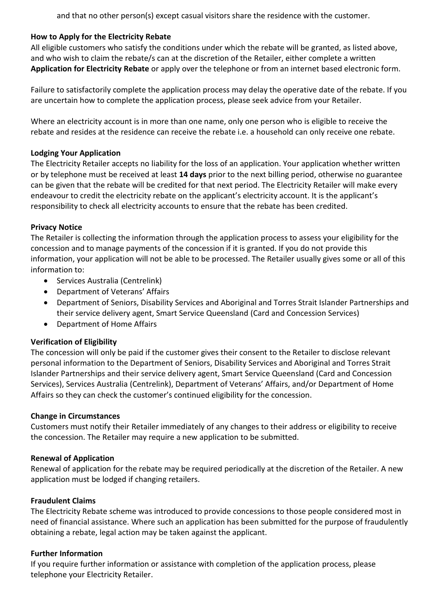and that no other person(s) except casual visitors share the residence with the customer.

### **How to Apply for the Electricity Rebate**

All eligible customers who satisfy the conditions under which the rebate will be granted, as listed above, and who wish to claim the rebate/s can at the discretion of the Retailer, either complete a written **Application for Electricity Rebate** or apply over the telephone or from an internet based electronic form.

Failure to satisfactorily complete the application process may delay the operative date of the rebate. If you are uncertain how to complete the application process, please seek advice from your Retailer.

Where an electricity account is in more than one name, only one person who is eligible to receive the rebate and resides at the residence can receive the rebate i.e. a household can only receive one rebate.

#### **Lodging Your Application**

The Electricity Retailer accepts no liability for the loss of an application. Your application whether written or by telephone must be received at least **14 days** prior to the next billing period, otherwise no guarantee can be given that the rebate will be credited for that next period. The Electricity Retailer will make every endeavour to credit the electricity rebate on the applicant's electricity account. It is the applicant's responsibility to check all electricity accounts to ensure that the rebate has been credited.

#### **Privacy Notice**

The Retailer is collecting the information through the application process to assess your eligibility for the concession and to manage payments of the concession if it is granted. If you do not provide this information, your application will not be able to be processed. The Retailer usually gives some or all of this information to:

- Services Australia (Centrelink)
- Department of Veterans' Affairs
- Department of Seniors, Disability Services and Aboriginal and Torres Strait Islander Partnerships and their service delivery agent, Smart Service Queensland (Card and Concession Services)
- Department of Home Affairs

#### **Verification of Eligibility**

The concession will only be paid if the customer gives their consent to the Retailer to disclose relevant personal information to the Department of Seniors, Disability Services and Aboriginal and Torres Strait Islander Partnerships and their service delivery agent, Smart Service Queensland (Card and Concession Services), Services Australia (Centrelink), Department of Veterans' Affairs, and/or Department of Home Affairs so they can check the customer's continued eligibility for the concession.

#### **Change in Circumstances**

Customers must notify their Retailer immediately of any changes to their address or eligibility to receive the concession. The Retailer may require a new application to be submitted.

#### **Renewal of Application**

Renewal of application for the rebate may be required periodically at the discretion of the Retailer. A new application must be lodged if changing retailers.

#### **Fraudulent Claims**

The Electricity Rebate scheme was introduced to provide concessions to those people considered most in need of financial assistance. Where such an application has been submitted for the purpose of fraudulently obtaining a rebate, legal action may be taken against the applicant.

#### **Further Information**

If you require further information or assistance with completion of the application process, please telephone your Electricity Retailer.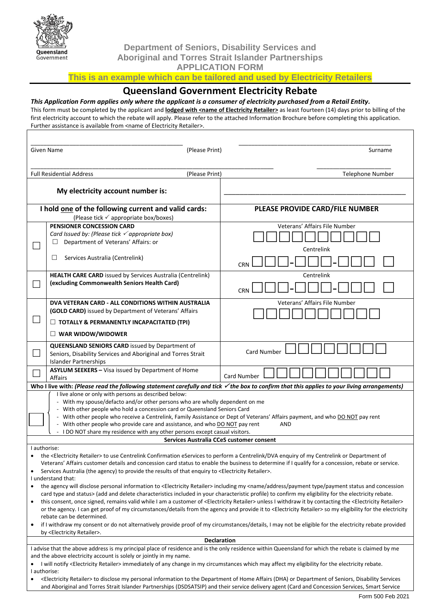

**Department of Seniors, Disability Services and Aboriginal and Torres Strait Islander Partnerships**

**APPLICATION FORM**

**This is an example which can be tailored and used by Electricity Retailers**

#### **Queensland Government Electricity Rebate**

#### *This Application Form applies only where the applicant is a consumer of electricity purchased from a Retail Entity.*

This form must be completed by the applicant and **lodged with <name of Electricity Retailer>** as least fourteen (14) days prior to billing of the first electricity account to which the rebate will apply. Please refer to the attached Information Brochure before completing this application. Further assistance is available from <name of Electricity Retailer>.

| Given Name                                                                                                                                                                                                                                                                                                                                       |                                                                                                                                                                                                      | (Please Print)                  | Surname                       |  |
|--------------------------------------------------------------------------------------------------------------------------------------------------------------------------------------------------------------------------------------------------------------------------------------------------------------------------------------------------|------------------------------------------------------------------------------------------------------------------------------------------------------------------------------------------------------|---------------------------------|-------------------------------|--|
|                                                                                                                                                                                                                                                                                                                                                  |                                                                                                                                                                                                      |                                 |                               |  |
| <b>Full Residential Address</b>                                                                                                                                                                                                                                                                                                                  |                                                                                                                                                                                                      | (Please Print)                  | Telephone Number              |  |
|                                                                                                                                                                                                                                                                                                                                                  |                                                                                                                                                                                                      |                                 |                               |  |
|                                                                                                                                                                                                                                                                                                                                                  | My electricity account number is:                                                                                                                                                                    |                                 |                               |  |
| I hold one of the following current and valid cards:                                                                                                                                                                                                                                                                                             |                                                                                                                                                                                                      | PLEASE PROVIDE CARD/FILE NUMBER |                               |  |
| (Please tick ✓ appropriate box/boxes)                                                                                                                                                                                                                                                                                                            |                                                                                                                                                                                                      |                                 |                               |  |
|                                                                                                                                                                                                                                                                                                                                                  | <b>PENSIONER CONCESSION CARD</b>                                                                                                                                                                     |                                 | Veterans' Affairs File Number |  |
|                                                                                                                                                                                                                                                                                                                                                  | Card Issued by: (Please tick $\checkmark$ appropriate box)                                                                                                                                           |                                 |                               |  |
|                                                                                                                                                                                                                                                                                                                                                  | Department of Veterans' Affairs: or                                                                                                                                                                  |                                 | Centrelink                    |  |
|                                                                                                                                                                                                                                                                                                                                                  | Services Australia (Centrelink)<br>Ш                                                                                                                                                                 |                                 |                               |  |
|                                                                                                                                                                                                                                                                                                                                                  |                                                                                                                                                                                                      |                                 | <b>CRN</b>                    |  |
|                                                                                                                                                                                                                                                                                                                                                  | <b>HEALTH CARE CARD</b> issued by Services Australia (Centrelink)                                                                                                                                    |                                 | Centrelink                    |  |
|                                                                                                                                                                                                                                                                                                                                                  | (excluding Commonwealth Seniors Health Card)                                                                                                                                                         |                                 | <b>CRN</b>                    |  |
|                                                                                                                                                                                                                                                                                                                                                  |                                                                                                                                                                                                      |                                 |                               |  |
|                                                                                                                                                                                                                                                                                                                                                  | DVA VETERAN CARD - ALL CONDITIONS WITHIN AUSTRALIA<br>(GOLD CARD) issued by Department of Veterans' Affairs                                                                                          |                                 | Veterans' Affairs File Number |  |
|                                                                                                                                                                                                                                                                                                                                                  |                                                                                                                                                                                                      |                                 |                               |  |
|                                                                                                                                                                                                                                                                                                                                                  | $\Box$ TOTALLY & PERMANENTLY INCAPACITATED (TPI)                                                                                                                                                     |                                 |                               |  |
|                                                                                                                                                                                                                                                                                                                                                  | $\Box$ WAR WIDOW/WIDOWER                                                                                                                                                                             |                                 |                               |  |
| $\sim$                                                                                                                                                                                                                                                                                                                                           | <b>QUEENSLAND SENIORS CARD</b> issued by Department of                                                                                                                                               |                                 | Card Number                   |  |
|                                                                                                                                                                                                                                                                                                                                                  | Seniors, Disability Services and Aboriginal and Torres Strait<br><b>Islander Partnerships</b>                                                                                                        |                                 |                               |  |
|                                                                                                                                                                                                                                                                                                                                                  | ASYLUM SEEKERS - Visa issued by Department of Home                                                                                                                                                   |                                 |                               |  |
|                                                                                                                                                                                                                                                                                                                                                  | Affairs                                                                                                                                                                                              |                                 | Card Number                   |  |
| Who I live with: (Please read the following statement carefully and tick $\checkmark$ the box to confirm that this applies to your living arrangements)<br>I live alone or only with persons as described below:                                                                                                                                 |                                                                                                                                                                                                      |                                 |                               |  |
|                                                                                                                                                                                                                                                                                                                                                  | - With my spouse/defacto and/or other persons who are wholly dependent on me                                                                                                                         |                                 |                               |  |
|                                                                                                                                                                                                                                                                                                                                                  | - With other people who hold a concession card or Queensland Seniors Card                                                                                                                            |                                 |                               |  |
|                                                                                                                                                                                                                                                                                                                                                  | - With other people who receive a Centrelink, Family Assistance or Dept of Veterans' Affairs payment, and who DO NOT pay rent                                                                        |                                 |                               |  |
| - With other people who provide care and assistance, and who DO NOT pay rent<br>AND<br>I DO NOT share my residence with any other persons except casual visitors.                                                                                                                                                                                |                                                                                                                                                                                                      |                                 |                               |  |
| Services Australia CCeS customer consent                                                                                                                                                                                                                                                                                                         |                                                                                                                                                                                                      |                                 |                               |  |
| I authorise:                                                                                                                                                                                                                                                                                                                                     |                                                                                                                                                                                                      |                                 |                               |  |
| the <electricity retailer=""> to use Centrelink Confirmation eServices to perform a Centrelink/DVA enquiry of my Centrelink or Department of</electricity>                                                                                                                                                                                       |                                                                                                                                                                                                      |                                 |                               |  |
| Veterans' Affairs customer details and concession card status to enable the business to determine if I qualify for a concession, rebate or service.<br>Services Australia (the agency) to provide the results of that enguiry to <electricity retailer="">.</electricity>                                                                        |                                                                                                                                                                                                      |                                 |                               |  |
| I understand that:                                                                                                                                                                                                                                                                                                                               |                                                                                                                                                                                                      |                                 |                               |  |
| the agency will disclose personal information to <electricity retailer=""> including my <name address="" and="" concession<br="" payment="" status="" type="">٠</name></electricity>                                                                                                                                                             |                                                                                                                                                                                                      |                                 |                               |  |
| card type and status> (add and delete characteristics included in your characteristic profile) to confirm my eligibility for the electricity rebate.<br>this consent, once signed, remains valid while I am a customer of <electricity retailer=""> unless I withdraw it by contacting the <electricity retailer=""></electricity></electricity> |                                                                                                                                                                                                      |                                 |                               |  |
| ٠<br>or the agency. I can get proof of my circumstances/details from the agency and provide it to <electricity retailer=""> so my eligibility for the electricity</electricity>                                                                                                                                                                  |                                                                                                                                                                                                      |                                 |                               |  |
| rebate can be determined.                                                                                                                                                                                                                                                                                                                        |                                                                                                                                                                                                      |                                 |                               |  |
| $\bullet$                                                                                                                                                                                                                                                                                                                                        | if I withdraw my consent or do not alternatively provide proof of my circumstances/details, I may not be eligible for the electricity rebate provided<br>by <electricity retailer="">.</electricity> |                                 |                               |  |
| Declaration                                                                                                                                                                                                                                                                                                                                      |                                                                                                                                                                                                      |                                 |                               |  |
| I advise that the above address is my principal place of residence and is the only residence within Queensland for which the rebate is claimed by me                                                                                                                                                                                             |                                                                                                                                                                                                      |                                 |                               |  |
| and the above electricity account is solely or jointly in my name.                                                                                                                                                                                                                                                                               |                                                                                                                                                                                                      |                                 |                               |  |
| I will notify <electricity retailer=""> immediately of any change in my circumstances which may affect my eligibility for the electricity rebate.<br/>I authorise:</electricity>                                                                                                                                                                 |                                                                                                                                                                                                      |                                 |                               |  |
| <electricity retailer=""> to disclose my personal information to the Department of Home Affairs (DHA) or Department of Seniors, Disability Services<br/>٠</electricity>                                                                                                                                                                          |                                                                                                                                                                                                      |                                 |                               |  |
| and Aboriginal and Torres Strait Islander Partnerships (DSDSATSIP) and their service delivery agent (Card and Concession Services, Smart Service                                                                                                                                                                                                 |                                                                                                                                                                                                      |                                 |                               |  |